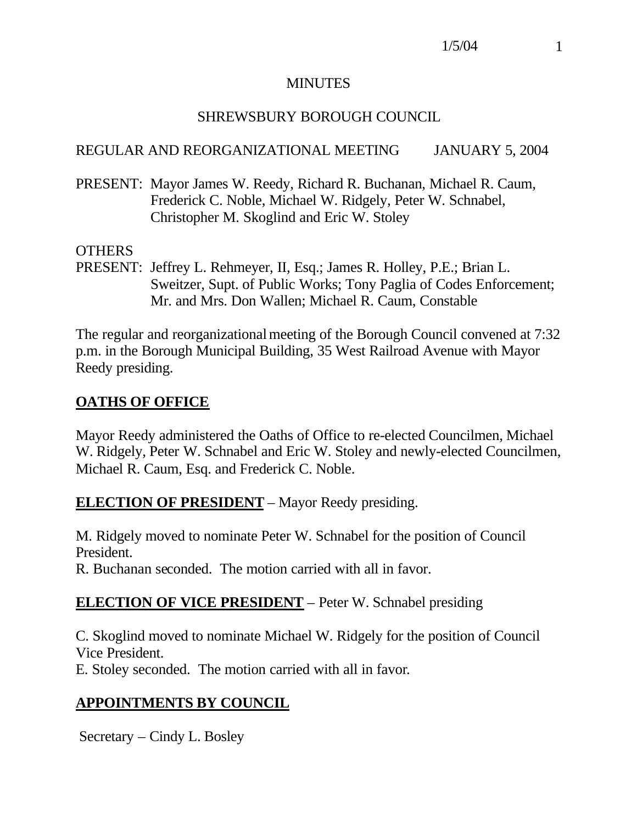#### **MINUTES**

### SHREWSBURY BOROUGH COUNCIL

### REGULAR AND REORGANIZATIONAL MEETING JANUARY 5, 2004

PRESENT: Mayor James W. Reedy, Richard R. Buchanan, Michael R. Caum, Frederick C. Noble, Michael W. Ridgely, Peter W. Schnabel, Christopher M. Skoglind and Eric W. Stoley

#### OTHERS

PRESENT: Jeffrey L. Rehmeyer, II, Esq.; James R. Holley, P.E.; Brian L. Sweitzer, Supt. of Public Works; Tony Paglia of Codes Enforcement; Mr. and Mrs. Don Wallen; Michael R. Caum, Constable

The regular and reorganizational meeting of the Borough Council convened at 7:32 p.m. in the Borough Municipal Building, 35 West Railroad Avenue with Mayor Reedy presiding.

### **OATHS OF OFFICE**

Mayor Reedy administered the Oaths of Office to re-elected Councilmen, Michael W. Ridgely, Peter W. Schnabel and Eric W. Stoley and newly-elected Councilmen, Michael R. Caum, Esq. and Frederick C. Noble.

### **ELECTION OF PRESIDENT** – Mayor Reedy presiding.

M. Ridgely moved to nominate Peter W. Schnabel for the position of Council President.

R. Buchanan seconded. The motion carried with all in favor.

### **ELECTION OF VICE PRESIDENT** – Peter W. Schnabel presiding

C. Skoglind moved to nominate Michael W. Ridgely for the position of Council Vice President.

E. Stoley seconded. The motion carried with all in favor.

### **APPOINTMENTS BY COUNCIL**

Secretary – Cindy L. Bosley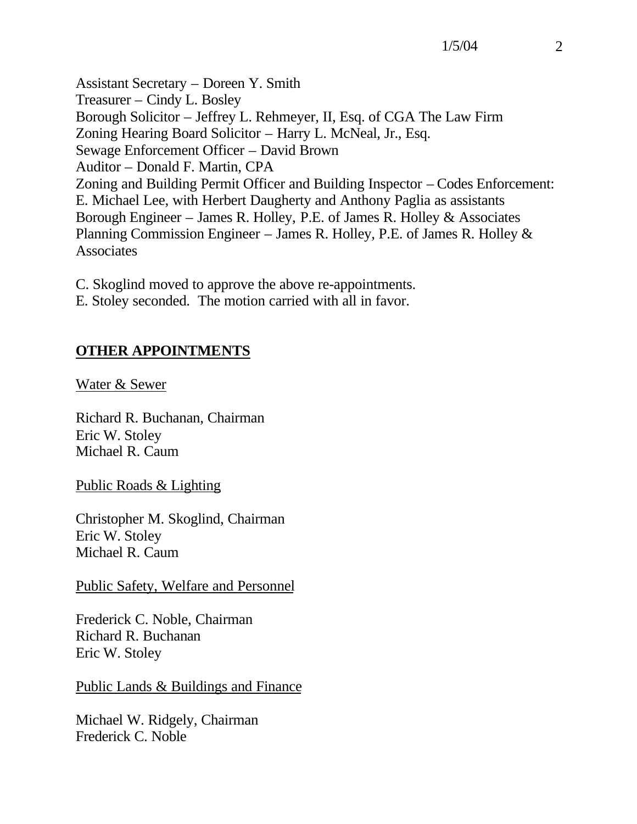Assistant Secretary – Doreen Y. Smith Treasurer – Cindy L. Bosley Borough Solicitor – Jeffrey L. Rehmeyer, II, Esq. of CGA The Law Firm Zoning Hearing Board Solicitor – Harry L. McNeal, Jr., Esq. Sewage Enforcement Officer – David Brown Auditor – Donald F. Martin, CPA Zoning and Building Permit Officer and Building Inspector – Codes Enforcement: E. Michael Lee, with Herbert Daugherty and Anthony Paglia as assistants Borough Engineer – James R. Holley, P.E. of James R. Holley & Associates Planning Commission Engineer – James R. Holley, P.E. of James R. Holley & **Associates** 

- C. Skoglind moved to approve the above re-appointments.
- E. Stoley seconded. The motion carried with all in favor.

### **OTHER APPOINTMENTS**

Water & Sewer

Richard R. Buchanan, Chairman Eric W. Stoley Michael R. Caum

Public Roads & Lighting

Christopher M. Skoglind, Chairman Eric W. Stoley Michael R. Caum

### Public Safety, Welfare and Personnel

Frederick C. Noble, Chairman Richard R. Buchanan Eric W. Stoley

Public Lands & Buildings and Finance

Michael W. Ridgely, Chairman Frederick C. Noble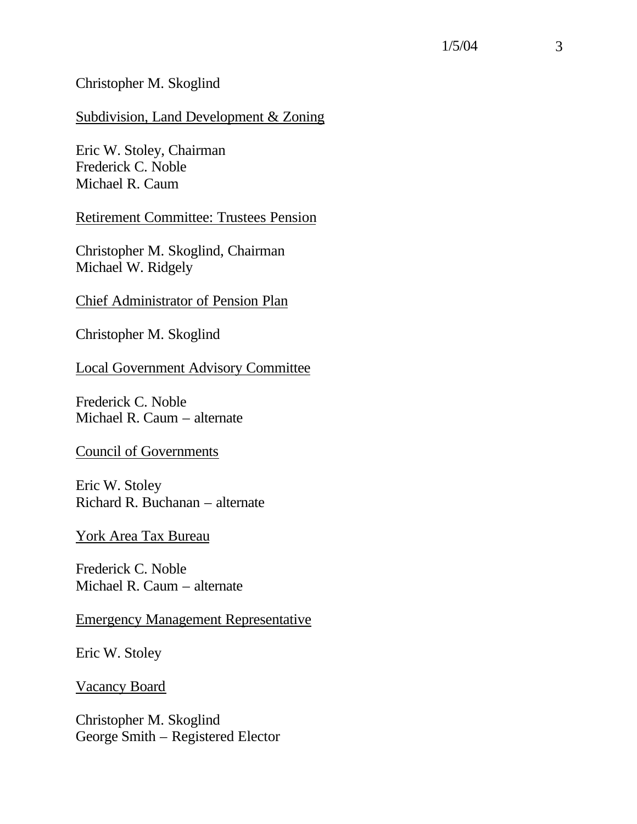#### Christopher M. Skoglind

#### Subdivision, Land Development & Zoning

Eric W. Stoley, Chairman Frederick C. Noble Michael R. Caum

Retirement Committee: Trustees Pension

Christopher M. Skoglind, Chairman Michael W. Ridgely

Chief Administrator of Pension Plan

Christopher M. Skoglind

Local Government Advisory Committee

Frederick C. Noble Michael R. Caum – alternate

#### Council of Governments

Eric W. Stoley Richard R. Buchanan – alternate

York Area Tax Bureau

Frederick C. Noble Michael R. Caum – alternate

Emergency Management Representative

Eric W. Stoley

Vacancy Board

Christopher M. Skoglind George Smith – Registered Elector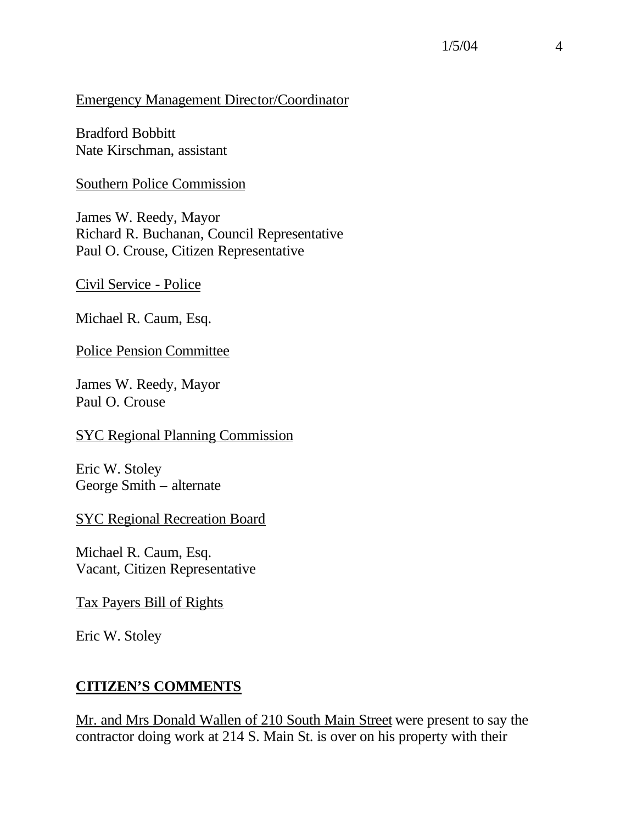### $1/5/04$  4

#### Emergency Management Director/Coordinator

Bradford Bobbitt Nate Kirschman, assistant

#### Southern Police Commission

James W. Reedy, Mayor Richard R. Buchanan, Council Representative Paul O. Crouse, Citizen Representative

Civil Service - Police

Michael R. Caum, Esq.

Police Pension Committee

James W. Reedy, Mayor Paul O. Crouse

#### SYC Regional Planning Commission

Eric W. Stoley George Smith – alternate

SYC Regional Recreation Board

Michael R. Caum, Esq. Vacant, Citizen Representative

Tax Payers Bill of Rights

Eric W. Stoley

#### **CITIZEN'S COMMENTS**

Mr. and Mrs Donald Wallen of 210 South Main Street were present to say the contractor doing work at 214 S. Main St. is over on his property with their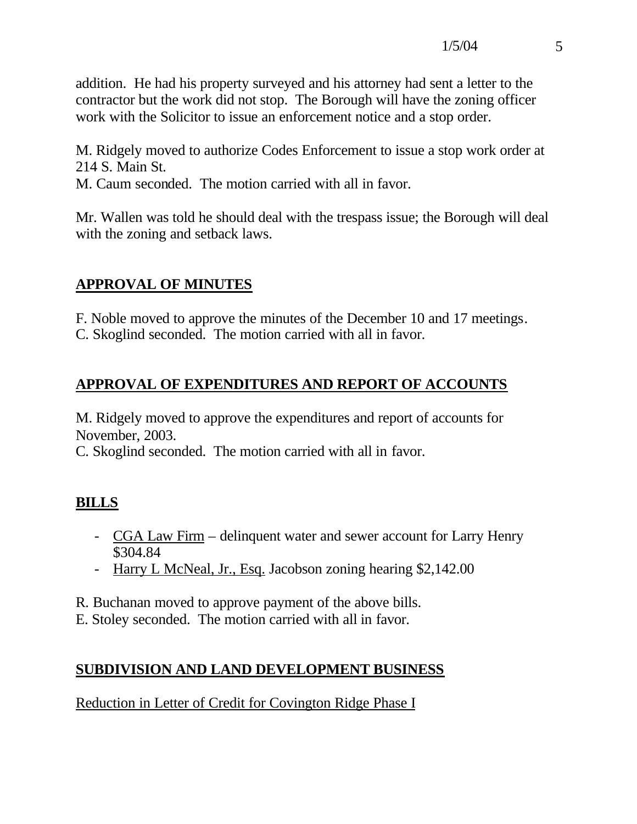addition. He had his property surveyed and his attorney had sent a letter to the contractor but the work did not stop. The Borough will have the zoning officer work with the Solicitor to issue an enforcement notice and a stop order.

M. Ridgely moved to authorize Codes Enforcement to issue a stop work order at 214 S. Main St.

M. Caum seconded. The motion carried with all in favor.

Mr. Wallen was told he should deal with the trespass issue; the Borough will deal with the zoning and setback laws.

### **APPROVAL OF MINUTES**

F. Noble moved to approve the minutes of the December 10 and 17 meetings. C. Skoglind seconded. The motion carried with all in favor.

# **APPROVAL OF EXPENDITURES AND REPORT OF ACCOUNTS**

M. Ridgely moved to approve the expenditures and report of accounts for November, 2003.

C. Skoglind seconded. The motion carried with all in favor.

# **BILLS**

- CGA Law Firm delinquent water and sewer account for Larry Henry \$304.84
- Harry L McNeal, Jr., Esq. Jacobson zoning hearing \$2,142.00

R. Buchanan moved to approve payment of the above bills.

E. Stoley seconded. The motion carried with all in favor.

# **SUBDIVISION AND LAND DEVELOPMENT BUSINESS**

Reduction in Letter of Credit for Covington Ridge Phase I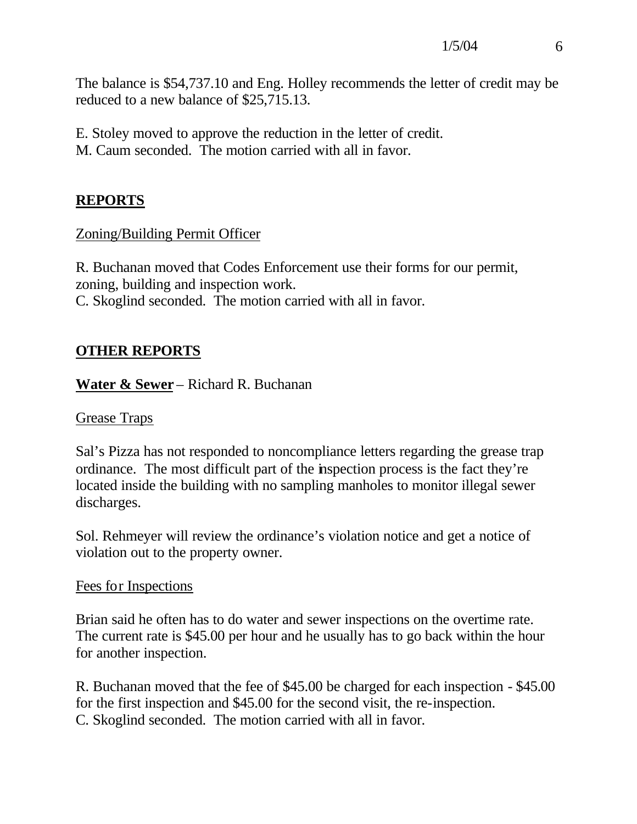The balance is \$54,737.10 and Eng. Holley recommends the letter of credit may be reduced to a new balance of \$25,715.13.

E. Stoley moved to approve the reduction in the letter of credit. M. Caum seconded. The motion carried with all in favor.

### **REPORTS**

### Zoning/Building Permit Officer

R. Buchanan moved that Codes Enforcement use their forms for our permit, zoning, building and inspection work. C. Skoglind seconded. The motion carried with all in favor.

### **OTHER REPORTS**

### **Water & Sewer** – Richard R. Buchanan

#### Grease Traps

Sal's Pizza has not responded to noncompliance letters regarding the grease trap ordinance. The most difficult part of the inspection process is the fact they're located inside the building with no sampling manholes to monitor illegal sewer discharges.

Sol. Rehmeyer will review the ordinance's violation notice and get a notice of violation out to the property owner.

#### Fees for Inspections

Brian said he often has to do water and sewer inspections on the overtime rate. The current rate is \$45.00 per hour and he usually has to go back within the hour for another inspection.

R. Buchanan moved that the fee of \$45.00 be charged for each inspection - \$45.00 for the first inspection and \$45.00 for the second visit, the re-inspection. C. Skoglind seconded. The motion carried with all in favor.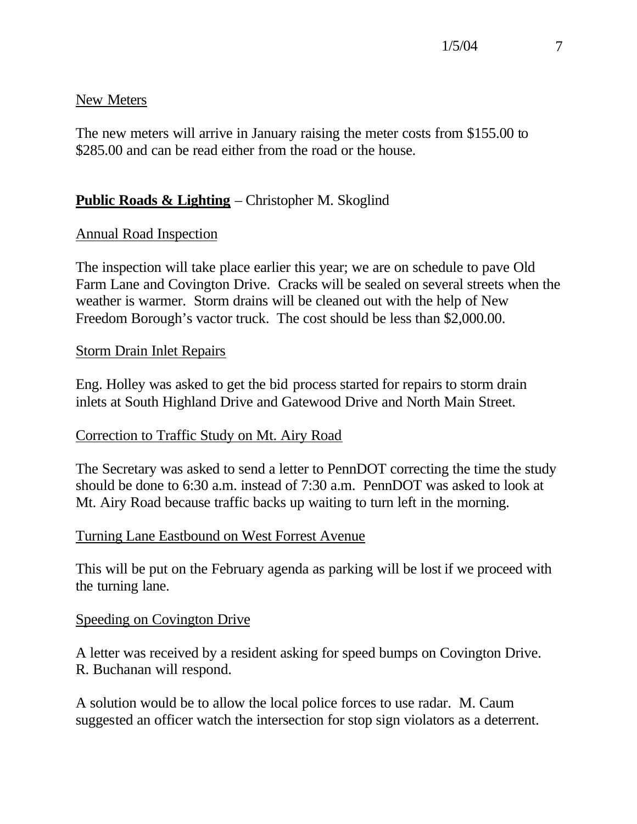### New Meters

The new meters will arrive in January raising the meter costs from \$155.00 to \$285.00 and can be read either from the road or the house.

### **Public Roads & Lighting** – Christopher M. Skoglind

### Annual Road Inspection

The inspection will take place earlier this year; we are on schedule to pave Old Farm Lane and Covington Drive. Cracks will be sealed on several streets when the weather is warmer. Storm drains will be cleaned out with the help of New Freedom Borough's vactor truck. The cost should be less than \$2,000.00.

#### Storm Drain Inlet Repairs

Eng. Holley was asked to get the bid process started for repairs to storm drain inlets at South Highland Drive and Gatewood Drive and North Main Street.

#### Correction to Traffic Study on Mt. Airy Road

The Secretary was asked to send a letter to PennDOT correcting the time the study should be done to 6:30 a.m. instead of 7:30 a.m. PennDOT was asked to look at Mt. Airy Road because traffic backs up waiting to turn left in the morning.

#### Turning Lane Eastbound on West Forrest Avenue

This will be put on the February agenda as parking will be lost if we proceed with the turning lane.

#### Speeding on Covington Drive

A letter was received by a resident asking for speed bumps on Covington Drive. R. Buchanan will respond.

A solution would be to allow the local police forces to use radar. M. Caum suggested an officer watch the intersection for stop sign violators as a deterrent.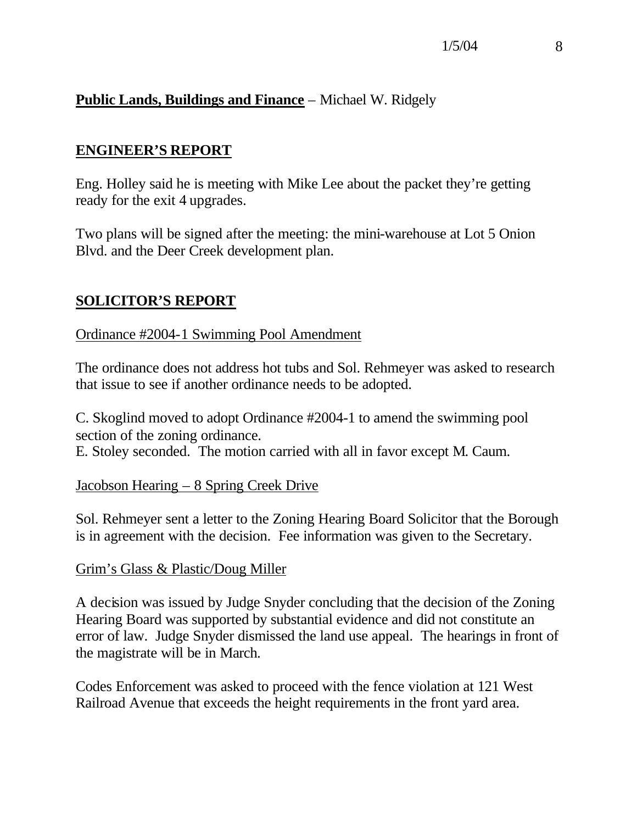### **Public Lands, Buildings and Finance** – Michael W. Ridgely

### **ENGINEER'S REPORT**

Eng. Holley said he is meeting with Mike Lee about the packet they're getting ready for the exit 4 upgrades.

Two plans will be signed after the meeting: the mini-warehouse at Lot 5 Onion Blvd. and the Deer Creek development plan.

### **SOLICITOR'S REPORT**

#### Ordinance #2004-1 Swimming Pool Amendment

The ordinance does not address hot tubs and Sol. Rehmeyer was asked to research that issue to see if another ordinance needs to be adopted.

C. Skoglind moved to adopt Ordinance #2004-1 to amend the swimming pool section of the zoning ordinance.

E. Stoley seconded. The motion carried with all in favor except M. Caum.

### Jacobson Hearing – 8 Spring Creek Drive

Sol. Rehmeyer sent a letter to the Zoning Hearing Board Solicitor that the Borough is in agreement with the decision. Fee information was given to the Secretary.

### Grim's Glass & Plastic/Doug Miller

A decision was issued by Judge Snyder concluding that the decision of the Zoning Hearing Board was supported by substantial evidence and did not constitute an error of law. Judge Snyder dismissed the land use appeal. The hearings in front of the magistrate will be in March.

Codes Enforcement was asked to proceed with the fence violation at 121 West Railroad Avenue that exceeds the height requirements in the front yard area.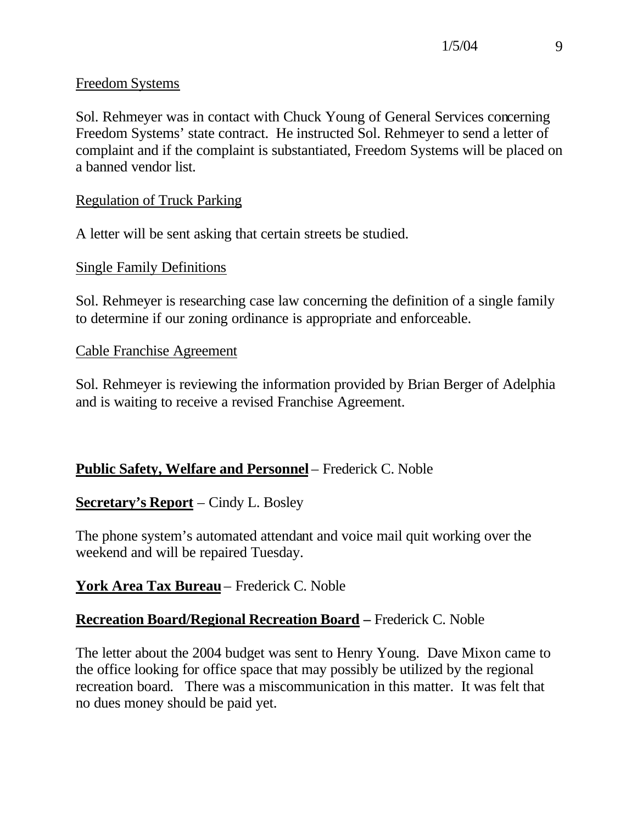#### Freedom Systems

Sol. Rehmeyer was in contact with Chuck Young of General Services concerning Freedom Systems' state contract. He instructed Sol. Rehmeyer to send a letter of complaint and if the complaint is substantiated, Freedom Systems will be placed on a banned vendor list.

### Regulation of Truck Parking

A letter will be sent asking that certain streets be studied.

### Single Family Definitions

Sol. Rehmeyer is researching case law concerning the definition of a single family to determine if our zoning ordinance is appropriate and enforceable.

#### Cable Franchise Agreement

Sol. Rehmeyer is reviewing the information provided by Brian Berger of Adelphia and is waiting to receive a revised Franchise Agreement.

### **Public Safety, Welfare and Personnel** – Frederick C. Noble

### **Secretary's Report** – Cindy L. Bosley

The phone system's automated attendant and voice mail quit working over the weekend and will be repaired Tuesday.

### **York Area Tax Bureau** – Frederick C. Noble

### **Recreation Board/Regional Recreation Board –** Frederick C. Noble

The letter about the 2004 budget was sent to Henry Young. Dave Mixon came to the office looking for office space that may possibly be utilized by the regional recreation board. There was a miscommunication in this matter. It was felt that no dues money should be paid yet.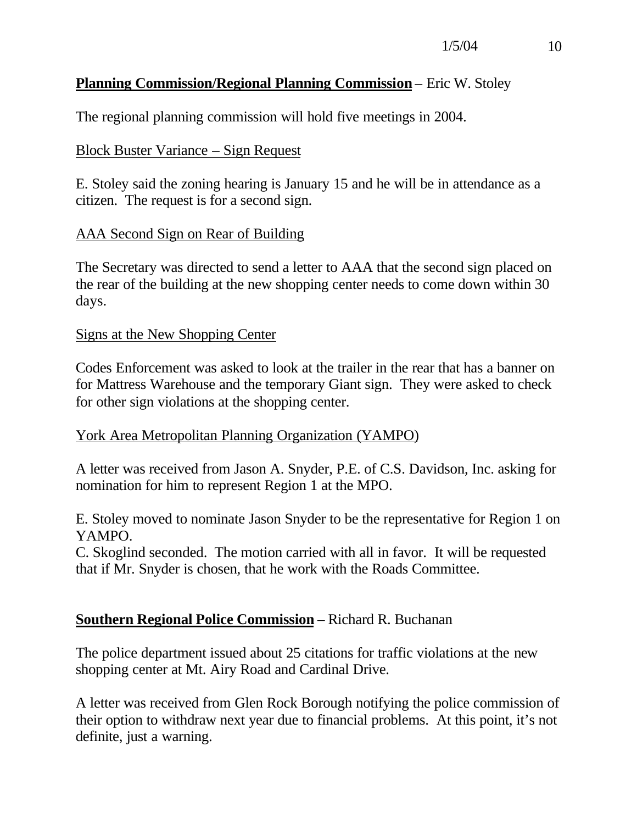### **Planning Commission/Regional Planning Commission** – Eric W. Stoley

The regional planning commission will hold five meetings in 2004.

### Block Buster Variance – Sign Request

E. Stoley said the zoning hearing is January 15 and he will be in attendance as a citizen. The request is for a second sign.

### AAA Second Sign on Rear of Building

The Secretary was directed to send a letter to AAA that the second sign placed on the rear of the building at the new shopping center needs to come down within 30 days.

#### Signs at the New Shopping Center

Codes Enforcement was asked to look at the trailer in the rear that has a banner on for Mattress Warehouse and the temporary Giant sign. They were asked to check for other sign violations at the shopping center.

#### York Area Metropolitan Planning Organization (YAMPO)

A letter was received from Jason A. Snyder, P.E. of C.S. Davidson, Inc. asking for nomination for him to represent Region 1 at the MPO.

E. Stoley moved to nominate Jason Snyder to be the representative for Region 1 on YAMPO.

C. Skoglind seconded. The motion carried with all in favor. It will be requested that if Mr. Snyder is chosen, that he work with the Roads Committee.

#### **Southern Regional Police Commission** – Richard R. Buchanan

The police department issued about 25 citations for traffic violations at the new shopping center at Mt. Airy Road and Cardinal Drive.

A letter was received from Glen Rock Borough notifying the police commission of their option to withdraw next year due to financial problems. At this point, it's not definite, just a warning.